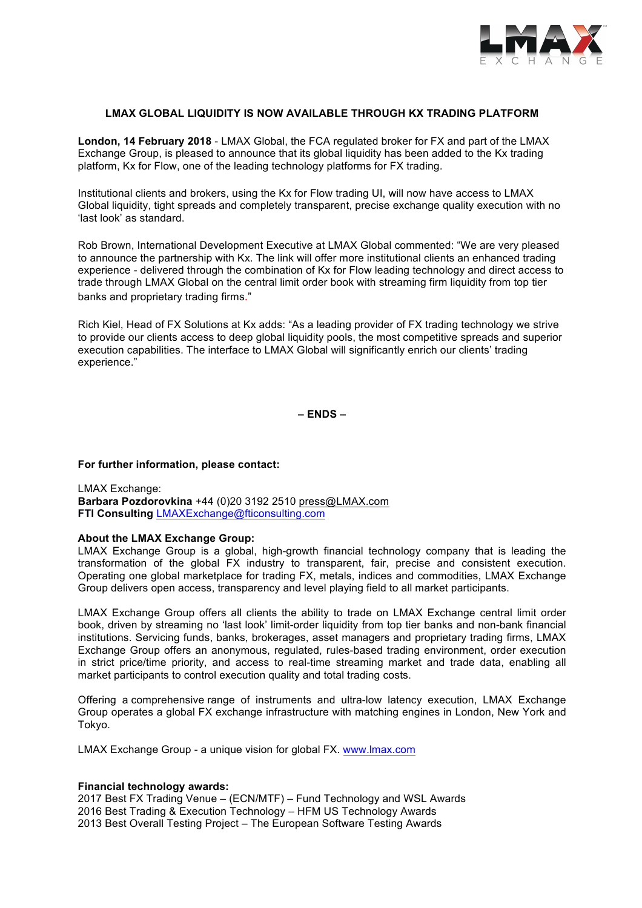

# **LMAX GLOBAL LIQUIDITY IS NOW AVAILABLE THROUGH KX TRADING PLATFORM**

**London, 14 February 2018** - LMAX Global, the FCA regulated broker for FX and part of the LMAX Exchange Group, is pleased to announce that its global liquidity has been added to the Kx trading platform, Kx for Flow, one of the leading technology platforms for FX trading.

Institutional clients and brokers, using the Kx for Flow trading UI, will now have access to LMAX Global liquidity, tight spreads and completely transparent, precise exchange quality execution with no 'last look' as standard.

Rob Brown, International Development Executive at LMAX Global commented: "We are very pleased to announce the partnership with Kx. The link will offer more institutional clients an enhanced trading experience - delivered through the combination of Kx for Flow leading technology and direct access to trade through LMAX Global on the central limit order book with streaming firm liquidity from top tier banks and proprietary trading firms."

Rich Kiel, Head of FX Solutions at Kx adds: "As a leading provider of FX trading technology we strive to provide our clients access to deep global liquidity pools, the most competitive spreads and superior execution capabilities. The interface to LMAX Global will significantly enrich our clients' trading experience."

**– ENDS –**

#### **For further information, please contact:**

LMAX Exchange: **Barbara Pozdorovkina** +44 (0)20 3192 2510 press@LMAX.com **FTI Consulting** LMAXExchange@fticonsulting.com

### **About the LMAX Exchange Group:**

LMAX Exchange Group is a global, high-growth financial technology company that is leading the transformation of the global FX industry to transparent, fair, precise and consistent execution. Operating one global marketplace for trading FX, metals, indices and commodities, LMAX Exchange Group delivers open access, transparency and level playing field to all market participants.

LMAX Exchange Group offers all clients the ability to trade on LMAX Exchange central limit order book, driven by streaming no 'last look' limit-order liquidity from top tier banks and non-bank financial institutions. Servicing funds, banks, brokerages, asset managers and proprietary trading firms, LMAX Exchange Group offers an anonymous, regulated, rules-based trading environment, order execution in strict price/time priority, and access to real-time streaming market and trade data, enabling all market participants to control execution quality and total trading costs.

Offering a comprehensive range of instruments and ultra-low latency execution, LMAX Exchange Group operates a global FX exchange infrastructure with matching engines in London, New York and Tokyo.

LMAX Exchange Group - a unique vision for global FX. www.lmax.com

## **Financial technology awards:**

2017 Best FX Trading Venue – (ECN/MTF) – Fund Technology and WSL Awards 2016 Best Trading & Execution Technology – HFM US Technology Awards 2013 Best Overall Testing Project – The European Software Testing Awards